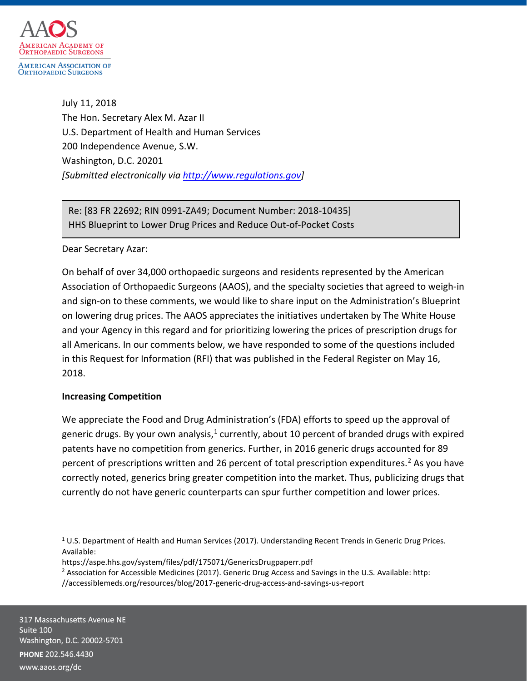

July 11, 2018 The Hon. Secretary Alex M. Azar II U.S. Department of Health and Human Services 200 Independence Avenue, S.W. Washington, D.C. 20201 *[Submitted electronically via [http://www.regulations.gov\]](http://www.regulations.gov/)*

Re: [83 FR 22692; RIN 0991-ZA49; Document Number: 2018-10435] HHS Blueprint to Lower Drug Prices and Reduce Out-of-Pocket Costs

## Dear Secretary Azar:

On behalf of over 34,000 orthopaedic surgeons and residents represented by the American Association of Orthopaedic Surgeons (AAOS), and the specialty societies that agreed to weigh-in and sign-on to these comments, we would like to share input on the Administration's Blueprint on lowering drug prices. The AAOS appreciates the initiatives undertaken by The White House and your Agency in this regard and for prioritizing lowering the prices of prescription drugs for all Americans. In our comments below, we have responded to some of the questions included in this Request for Information (RFI) that was published in the Federal Register on May 16, 2018.

## **Increasing Competition**

We appreciate the Food and Drug Administration's (FDA) efforts to speed up the approval of generic drugs. By your own analysis, $1$  currently, about 10 percent of branded drugs with expired patents have no competition from generics. Further, in 2016 generic drugs accounted for 89 percent of prescriptions written and 26 percent of total prescription expenditures. [2](#page-0-1) As you have correctly noted, generics bring greater competition into the market. Thus, publicizing drugs that currently do not have generic counterparts can spur further competition and lower prices.

<span id="page-0-0"></span> $1$  U.S. Department of Health and Human Services (2017). Understanding Recent Trends in Generic Drug Prices. Available:

https://aspe.hhs.gov/system/files/pdf/175071/GenericsDrugpaperr.pdf

<span id="page-0-1"></span><sup>&</sup>lt;sup>2</sup> Association for Accessible Medicines (2017). Generic Drug Access and Savings in the U.S. Available: http:

<sup>//</sup>accessiblemeds.org/resources/blog/2017-generic-drug-access-and-savings-us-report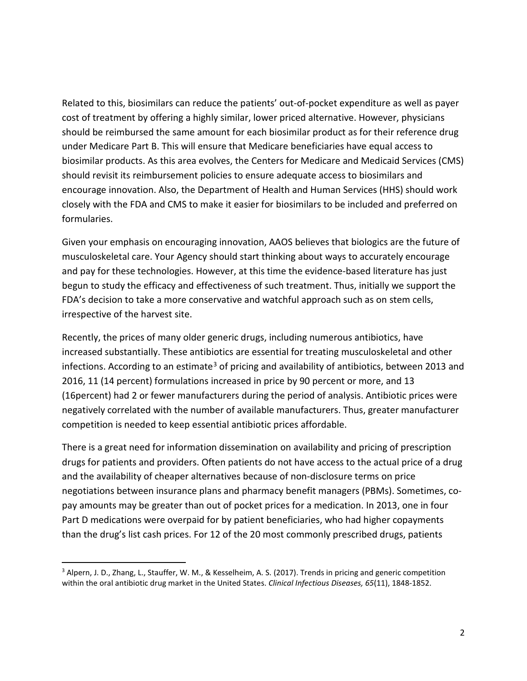Related to this, biosimilars can reduce the patients' out-of-pocket expenditure as well as payer cost of treatment by offering a highly similar, lower priced alternative. However, physicians should be reimbursed the same amount for each biosimilar product as for their reference drug under Medicare Part B. This will ensure that Medicare beneficiaries have equal access to biosimilar products. As this area evolves, the Centers for Medicare and Medicaid Services (CMS) should revisit its reimbursement policies to ensure adequate access to biosimilars and encourage innovation. Also, the Department of Health and Human Services (HHS) should work closely with the FDA and CMS to make it easier for biosimilars to be included and preferred on formularies.

Given your emphasis on encouraging innovation, AAOS believes that biologics are the future of musculoskeletal care. Your Agency should start thinking about ways to accurately encourage and pay for these technologies. However, at this time the evidence-based literature has just begun to study the efficacy and effectiveness of such treatment. Thus, initially we support the FDA's decision to take a more conservative and watchful approach such as on stem cells, irrespective of the harvest site.

Recently, the prices of many older generic drugs, including numerous antibiotics, have increased substantially. These antibiotics are essential for treating musculoskeletal and other infections. According to an estimate<sup>[3](#page-1-0)</sup> of pricing and availability of antibiotics, between 2013 and 2016, 11 (14 percent) formulations increased in price by 90 percent or more, and 13 (16percent) had 2 or fewer manufacturers during the period of analysis. Antibiotic prices were negatively correlated with the number of available manufacturers. Thus, greater manufacturer competition is needed to keep essential antibiotic prices affordable.

There is a great need for information dissemination on availability and pricing of prescription drugs for patients and providers. Often patients do not have access to the actual price of a drug and the availability of cheaper alternatives because of non-disclosure terms on price negotiations between insurance plans and pharmacy benefit managers (PBMs). Sometimes, copay amounts may be greater than out of pocket prices for a medication. In 2013, one in four Part D medications were overpaid for by patient beneficiaries, who had higher copayments than the drug's list cash prices. For 12 of the 20 most commonly prescribed drugs, patients

<span id="page-1-0"></span> <sup>3</sup> Alpern, J. D., Zhang, L., Stauffer, W. M., & Kesselheim, A. S. (2017). Trends in pricing and generic competition within the oral antibiotic drug market in the United States. *Clinical Infectious Diseases, 65*(11), 1848-1852.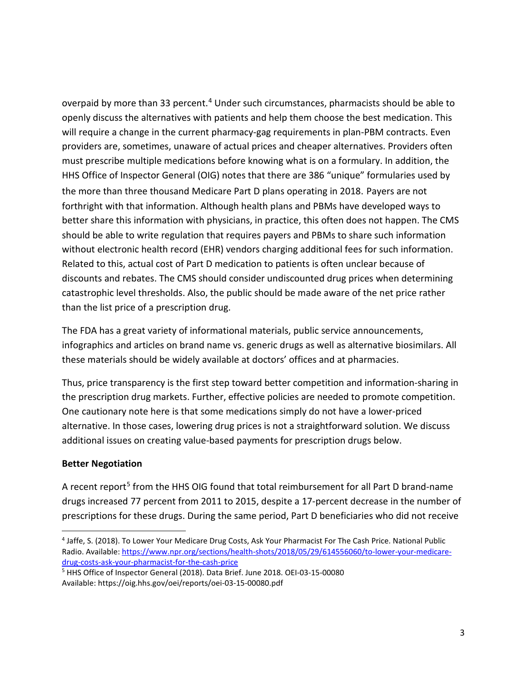overpaid by more than 33 percent.<sup>[4](#page-2-0)</sup> Under such circumstances, pharmacists should be able to openly discuss the alternatives with patients and help them choose the best medication. This will require a change in the current pharmacy-gag requirements in plan-PBM contracts. Even providers are, sometimes, unaware of actual prices and cheaper alternatives. Providers often must prescribe multiple medications before knowing what is on a formulary. In addition, the HHS Office of Inspector General (OIG) notes that there are 386 "unique" formularies used by the more than three thousand Medicare Part D plans operating in 2018. Payers are not forthright with that information. Although health plans and PBMs have developed ways to better share this information with physicians, in practice, this often does not happen. The CMS should be able to write regulation that requires payers and PBMs to share such information without electronic health record (EHR) vendors charging additional fees for such information. Related to this, actual cost of Part D medication to patients is often unclear because of discounts and rebates. The CMS should consider undiscounted drug prices when determining catastrophic level thresholds. Also, the public should be made aware of the net price rather than the list price of a prescription drug.

The FDA has a great variety of informational materials, public service announcements, infographics and articles on brand name vs. generic drugs as well as alternative biosimilars. All these materials should be widely available at doctors' offices and at pharmacies.

Thus, price transparency is the first step toward better competition and information-sharing in the prescription drug markets. Further, effective policies are needed to promote competition. One cautionary note here is that some medications simply do not have a lower-priced alternative. In those cases, lowering drug prices is not a straightforward solution. We discuss additional issues on creating value-based payments for prescription drugs below.

# **Better Negotiation**

A recent report<sup>[5](#page-2-1)</sup> from the HHS OIG found that total reimbursement for all Part D brand-name drugs increased 77 percent from 2011 to 2015, despite a 17-percent decrease in the number of prescriptions for these drugs. During the same period, Part D beneficiaries who did not receive

<span id="page-2-0"></span> <sup>4</sup> Jaffe, S. (2018). To Lower Your Medicare Drug Costs, Ask Your Pharmacist For The Cash Price. National Public Radio. Available: [https://www.npr.org/sections/health-shots/2018/05/29/614556060/to-lower-your-medicare](https://www.npr.org/sections/health-shots/2018/05/29/614556060/to-lower-your-medicare-drug-costs-ask-your-pharmacist-for-the-cash-price)[drug-costs-ask-your-pharmacist-for-the-cash-price](https://www.npr.org/sections/health-shots/2018/05/29/614556060/to-lower-your-medicare-drug-costs-ask-your-pharmacist-for-the-cash-price)

<span id="page-2-1"></span><sup>5</sup> HHS Office of Inspector General (2018). Data Brief. June 2018. OEI-03-15-00080 Available: https://oig.hhs.gov/oei/reports/oei-03-15-00080.pdf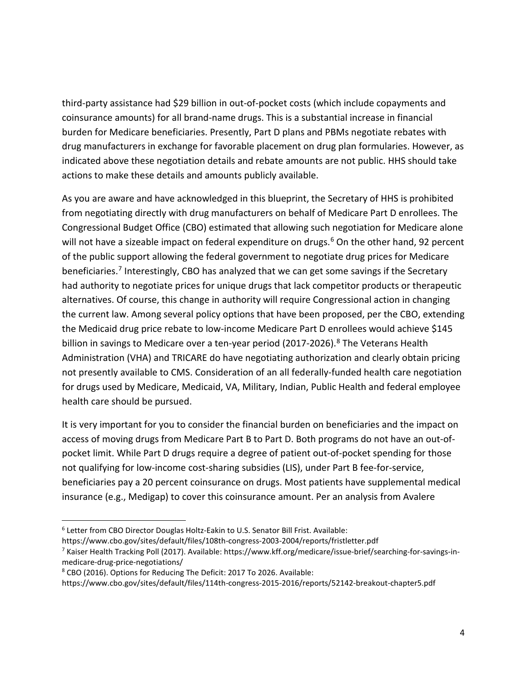third-party assistance had \$29 billion in out-of-pocket costs (which include copayments and coinsurance amounts) for all brand-name drugs. This is a substantial increase in financial burden for Medicare beneficiaries. Presently, Part D plans and PBMs negotiate rebates with drug manufacturers in exchange for favorable placement on drug plan formularies. However, as indicated above these negotiation details and rebate amounts are not public. HHS should take actions to make these details and amounts publicly available.

As you are aware and have acknowledged in this blueprint, the Secretary of HHS is prohibited from negotiating directly with drug manufacturers on behalf of Medicare Part D enrollees. The Congressional Budget Office (CBO) estimated that allowing such negotiation for Medicare alone will not have a sizeable impact on federal expenditure on drugs.<sup>[6](#page-3-0)</sup> On the other hand, 92 percent of the public support allowing the federal government to negotiate drug prices for Medicare beneficiaries.<sup>[7](#page-3-1)</sup> Interestingly, CBO has analyzed that we can get some savings if the Secretary had authority to negotiate prices for unique drugs that lack competitor products or therapeutic alternatives. Of course, this change in authority will require Congressional action in changing the current law. Among several policy options that have been proposed, per the CBO, extending the Medicaid drug price rebate to low-income Medicare Part D enrollees would achieve \$145 billion in savings to Medicare over a ten-year period (2017-2026).<sup>[8](#page-3-2)</sup> The Veterans Health Administration (VHA) and TRICARE do have negotiating authorization and clearly obtain pricing not presently available to CMS. Consideration of an all federally-funded health care negotiation for drugs used by Medicare, Medicaid, VA, Military, Indian, Public Health and federal employee health care should be pursued.

It is very important for you to consider the financial burden on beneficiaries and the impact on access of moving drugs from Medicare Part B to Part D. Both programs do not have an out-ofpocket limit. While Part D drugs require a degree of patient out-of-pocket spending for those not qualifying for low-income cost-sharing subsidies (LIS), under Part B fee-for-service, beneficiaries pay a 20 percent coinsurance on drugs. Most patients have supplemental medical insurance (e.g., Medigap) to cover this coinsurance amount. Per an analysis from Avalere

<span id="page-3-0"></span> <sup>6</sup> Letter from CBO Director Douglas Holtz-Eakin to U.S. Senator Bill Frist. Available:

https://www.cbo.gov/sites/default/files/108th-congress-2003-2004/reports/fristletter.pdf

<span id="page-3-1"></span><sup>7</sup> Kaiser Health Tracking Poll (2017). Available: https://www.kff.org/medicare/issue-brief/searching-for-savings-inmedicare-drug-price-negotiations/

<span id="page-3-2"></span><sup>8</sup> CBO (2016). Options for Reducing The Deficit: 2017 To 2026. Available:

https://www.cbo.gov/sites/default/files/114th-congress-2015-2016/reports/52142-breakout-chapter5.pdf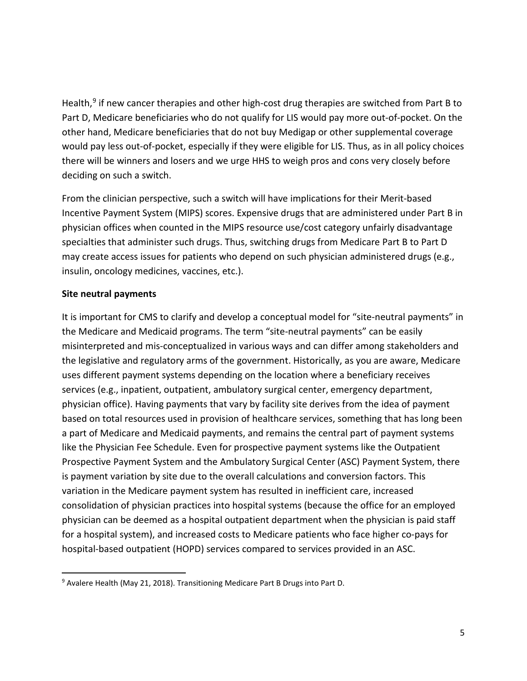Health,<sup>[9](#page-4-0)</sup> if new cancer therapies and other high-cost drug therapies are switched from Part B to Part D, Medicare beneficiaries who do not qualify for LIS would pay more out-of-pocket. On the other hand, Medicare beneficiaries that do not buy Medigap or other supplemental coverage would pay less out-of-pocket, especially if they were eligible for LIS. Thus, as in all policy choices there will be winners and losers and we urge HHS to weigh pros and cons very closely before deciding on such a switch.

From the clinician perspective, such a switch will have implications for their Merit-based Incentive Payment System (MIPS) scores. Expensive drugs that are administered under Part B in physician offices when counted in the MIPS resource use/cost category unfairly disadvantage specialties that administer such drugs. Thus, switching drugs from Medicare Part B to Part D may create access issues for patients who depend on such physician administered drugs (e.g., insulin, oncology medicines, vaccines, etc.).

## **Site neutral payments**

It is important for CMS to clarify and develop a conceptual model for "site-neutral payments" in the Medicare and Medicaid programs. The term "site-neutral payments" can be easily misinterpreted and mis-conceptualized in various ways and can differ among stakeholders and the legislative and regulatory arms of the government. Historically, as you are aware, Medicare uses different payment systems depending on the location where a beneficiary receives services (e.g., inpatient, outpatient, ambulatory surgical center, emergency department, physician office). Having payments that vary by facility site derives from the idea of payment based on total resources used in provision of healthcare services, something that has long been a part of Medicare and Medicaid payments, and remains the central part of payment systems like the Physician Fee Schedule. Even for prospective payment systems like the Outpatient Prospective Payment System and the Ambulatory Surgical Center (ASC) Payment System, there is payment variation by site due to the overall calculations and conversion factors. This variation in the Medicare payment system has resulted in inefficient care, increased consolidation of physician practices into hospital systems (because the office for an employed physician can be deemed as a hospital outpatient department when the physician is paid staff for a hospital system), and increased costs to Medicare patients who face higher co-pays for hospital-based outpatient (HOPD) services compared to services provided in an ASC.

<span id="page-4-0"></span> <sup>9</sup> Avalere Health (May 21, 2018). Transitioning Medicare Part B Drugs into Part D.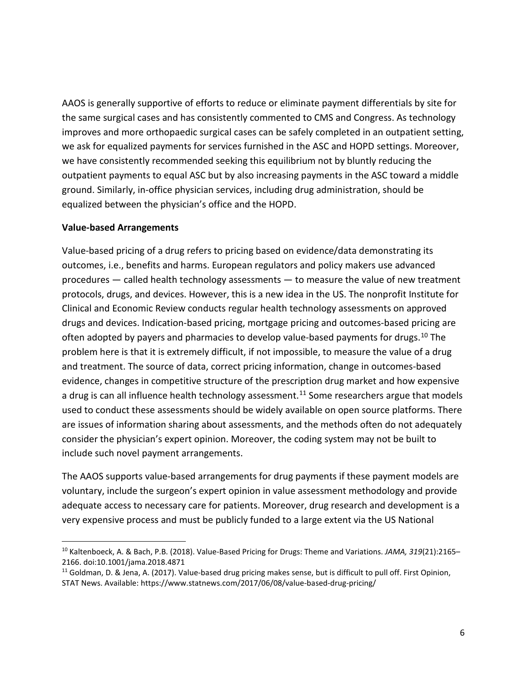AAOS is generally supportive of efforts to reduce or eliminate payment differentials by site for the same surgical cases and has consistently commented to CMS and Congress. As technology improves and more orthopaedic surgical cases can be safely completed in an outpatient setting, we ask for equalized payments for services furnished in the ASC and HOPD settings. Moreover, we have consistently recommended seeking this equilibrium not by bluntly reducing the outpatient payments to equal ASC but by also increasing payments in the ASC toward a middle ground. Similarly, in-office physician services, including drug administration, should be equalized between the physician's office and the HOPD.

#### **Value-based Arrangements**

Value-based pricing of a drug refers to pricing based on evidence/data demonstrating its outcomes, i.e., benefits and harms. European regulators and policy makers use advanced procedures — called health technology assessments — to measure the value of new treatment protocols, drugs, and devices. However, this is a new idea in the US. The nonprofit Institute for Clinical and Economic Review conducts regular health technology assessments on approved drugs and devices. Indication-based pricing, mortgage pricing and outcomes-based pricing are often adopted by payers and pharmacies to develop value-based payments for drugs.<sup>[10](#page-5-0)</sup> The problem here is that it is extremely difficult, if not impossible, to measure the value of a drug and treatment. The source of data, correct pricing information, change in outcomes-based evidence, changes in competitive structure of the prescription drug market and how expensive a drug is can all influence health technology assessment.<sup>[11](#page-5-1)</sup> Some researchers argue that models used to conduct these assessments should be widely available on open source platforms. There are issues of information sharing about assessments, and the methods often do not adequately consider the physician's expert opinion. Moreover, the coding system may not be built to include such novel payment arrangements.

The AAOS supports value-based arrangements for drug payments if these payment models are voluntary, include the surgeon's expert opinion in value assessment methodology and provide adequate access to necessary care for patients. Moreover, drug research and development is a very expensive process and must be publicly funded to a large extent via the US National

<span id="page-5-0"></span> <sup>10</sup> Kaltenboeck, A. & Bach, P.B. (2018). Value-Based Pricing for Drugs: Theme and Variations. *JAMA, 319*(21):2165– 2166. doi:10.1001/jama.2018.4871

<span id="page-5-1"></span><sup>&</sup>lt;sup>11</sup> Goldman, D. & Jena, A. (2017). Value-based drug pricing makes sense, but is difficult to pull off. First Opinion, STAT News. Available: https://www.statnews.com/2017/06/08/value-based-drug-pricing/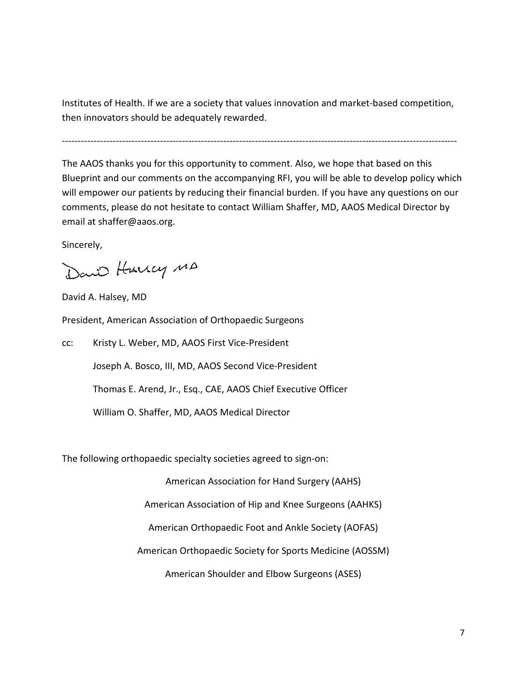Institutes of Health. If we are a society that values innovation and market-based competition, then innovators should be adequately rewarded.

-----------------------------------------------------------------------------------------------------------------------------

The AAOS thanks you for this opportunity to comment. Also, we hope that based on this Blueprint and our comments on the accompanying RFI, you will be able to develop policy which will empower our patients by reducing their financial burden. If you have any questions on our comments, please do not hesitate to contact William Shaffer, MD, AAOS Medical Director by email at shaffer@aaos.org.

Sincerely,

David Hurrey MA

David A. Halsey, MD

President, American Association of Orthopaedic Surgeons

cc: Kristy L. Weber, MD, AAOS First Vice-President Joseph A. Bosco, III, MD, AAOS Second Vice-President Thomas E. Arend, Jr., Esq., CAE, AAOS Chief Executive Officer William O. Shaffer, MD, AAOS Medical Director

The following orthopaedic specialty societies agreed to sign-on:

American Association for Hand Surgery (AAHS)

American Association of Hip and Knee Surgeons (AAHKS)

American Orthopaedic Foot and Ankle Society (AOFAS)

American Orthopaedic Society for Sports Medicine (AOSSM)

American Shoulder and Elbow Surgeons (ASES)